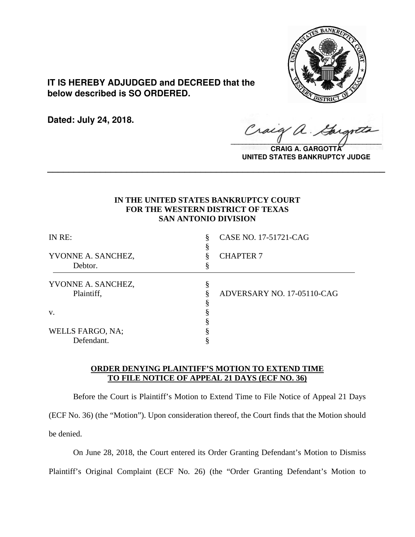

**IT IS HEREBY ADJUDGED and DECREED that the below described is SO ORDERED.**

**Dated: July 24, 2018.**

 $\sqrt{2}$ 

**CRAIG A. GARGOTTA UNITED STATES BANKRUPTCY JUDGE**

## **IN THE UNITED STATES BANKRUPTCY COURT FOR THE WESTERN DISTRICT OF TEXAS SAN ANTONIO DIVISION**

**\_\_\_\_\_\_\_\_\_\_\_\_\_\_\_\_\_\_\_\_\_\_\_\_\_\_\_\_\_\_\_\_\_\_\_\_\_\_\_\_\_\_\_\_\_\_\_\_\_\_\_\_\_\_\_\_\_\_\_\_\_\_\_\_**

| IN RE:                        | CASE NO. 17-51721-CAG      |
|-------------------------------|----------------------------|
| YVONNE A. SANCHEZ,<br>Debtor. | <b>CHAPTER 7</b>           |
| YVONNE A. SANCHEZ,            | Ò                          |
| Plaintiff,                    | ADVERSARY NO. 17-05110-CAG |
|                               |                            |
| V.                            |                            |
|                               |                            |
| WELLS FARGO, NA;              |                            |
| Defendant.                    |                            |

## **ORDER DENYING PLAINTIFF'S MOTION TO EXTEND TIME TO FILE NOTICE OF APPEAL 21 DAYS (ECF NO. 36)**

Before the Court is Plaintiff's Motion to Extend Time to File Notice of Appeal 21 Days (ECF No. 36) (the "Motion"). Upon consideration thereof, the Court finds that the Motion should be denied.

On June 28, 2018, the Court entered its Order Granting Defendant's Motion to Dismiss

Plaintiff's Original Complaint (ECF No. 26) (the "Order Granting Defendant's Motion to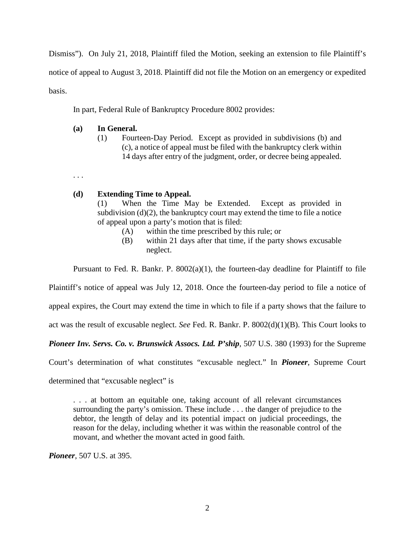Dismiss"). On July 21, 2018, Plaintiff filed the Motion, seeking an extension to file Plaintiff's notice of appeal to August 3, 2018. Plaintiff did not file the Motion on an emergency or expedited basis.

In part, Federal Rule of Bankruptcy Procedure 8002 provides:

## **(a) In General.**

(1) Fourteen-Day Period. Except as provided in subdivisions (b) and (c), a notice of appeal must be filed with the bankruptcy clerk within 14 days after entry of the judgment, order, or decree being appealed.

. . .

## **(d) Extending Time to Appeal.**

(1) When the Time May be Extended. Except as provided in subdivision  $(d)(2)$ , the bankruptcy court may extend the time to file a notice of appeal upon a party's motion that is filed:

- (A) within the time prescribed by this rule; or
- (B) within 21 days after that time, if the party shows excusable neglect.

Pursuant to Fed. R. Bankr. P.  $8002(a)(1)$ , the fourteen-day deadline for Plaintiff to file

Plaintiff's notice of appeal was July 12, 2018. Once the fourteen-day period to file a notice of

appeal expires, the Court may extend the time in which to file if a party shows that the failure to

act was the result of excusable neglect. *See* Fed. R. Bankr. P. 8002(d)(1)(B). This Court looks to

*Pioneer Inv. Servs. Co. v. Brunswick Assocs. Ltd. P'ship*, 507 U.S. 380 (1993) for the Supreme

Court's determination of what constitutes "excusable neglect." In *Pioneer*, Supreme Court

determined that "excusable neglect" is

. . . at bottom an equitable one, taking account of all relevant circumstances surrounding the party's omission. These include . . . the danger of prejudice to the debtor, the length of delay and its potential impact on judicial proceedings, the reason for the delay, including whether it was within the reasonable control of the movant, and whether the movant acted in good faith.

*Pioneer*, 507 U.S. at 395.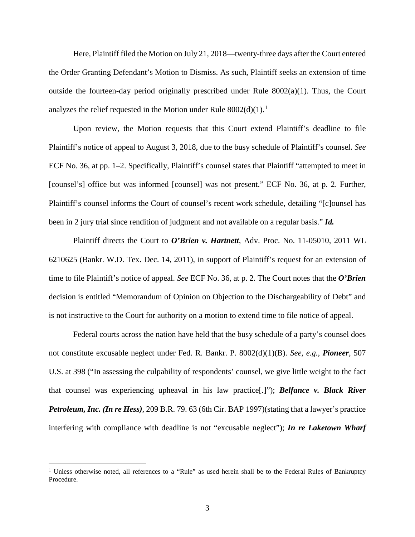Here, Plaintiff filed the Motion on July 21, 2018—twenty-three days after the Court entered the Order Granting Defendant's Motion to Dismiss. As such, Plaintiff seeks an extension of time outside the fourteen-day period originally prescribed under Rule  $8002(a)(1)$ . Thus, the Court analyzes the relief requested in the Motion under Rule  $8002(d)(1)$  $8002(d)(1)$  $8002(d)(1)$ .<sup>1</sup>

Upon review, the Motion requests that this Court extend Plaintiff's deadline to file Plaintiff's notice of appeal to August 3, 2018, due to the busy schedule of Plaintiff's counsel. *See* ECF No. 36, at pp. 1–2. Specifically, Plaintiff's counsel states that Plaintiff "attempted to meet in [counsel's] office but was informed [counsel] was not present." ECF No. 36, at p. 2. Further, Plaintiff's counsel informs the Court of counsel's recent work schedule, detailing "[c]ounsel has been in 2 jury trial since rendition of judgment and not available on a regular basis." *Id.*

Plaintiff directs the Court to *O'Brien v. Hartnett*, Adv. Proc. No. 11-05010, 2011 WL 6210625 (Bankr. W.D. Tex. Dec. 14, 2011), in support of Plaintiff's request for an extension of time to file Plaintiff's notice of appeal. *See* ECF No. 36, at p. 2. The Court notes that the *O'Brien* decision is entitled "Memorandum of Opinion on Objection to the Dischargeability of Debt" and is not instructive to the Court for authority on a motion to extend time to file notice of appeal.

Federal courts across the nation have held that the busy schedule of a party's counsel does not constitute excusable neglect under Fed. R. Bankr. P. 8002(d)(1)(B). *See, e.g.*, *Pioneer*, 507 U.S. at 398 ("In assessing the culpability of respondents' counsel, we give little weight to the fact that counsel was experiencing upheaval in his law practice[.]"); *Belfance v. Black River Petroleum, Inc. (In re Hess)*, 209 B.R. 79. 63 (6th Cir. BAP 1997)(stating that a lawyer's practice interfering with compliance with deadline is not "excusable neglect"); *In re Laketown Wharf* 

<span id="page-2-0"></span><sup>&</sup>lt;sup>1</sup> Unless otherwise noted, all references to a "Rule" as used herein shall be to the Federal Rules of Bankruptcy Procedure.